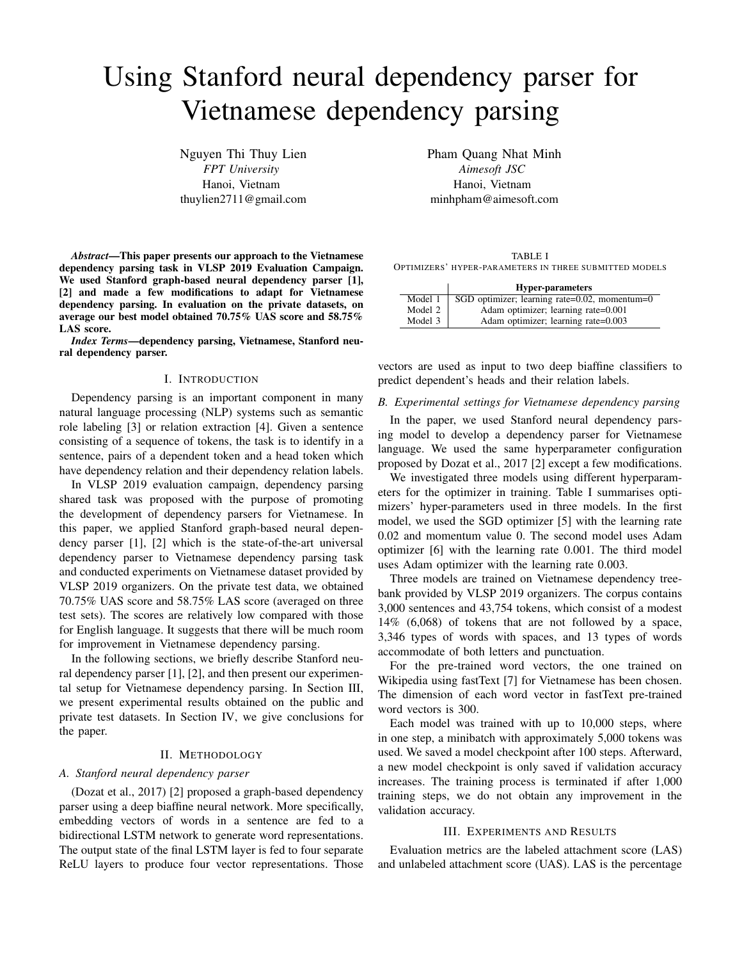# Using Stanford neural dependency parser for Vietnamese dependency parsing

Nguyen Thi Thuy Lien *FPT University* Hanoi, Vietnam thuylien2711@gmail.com

*Abstract*—This paper presents our approach to the Vietnamese dependency parsing task in VLSP 2019 Evaluation Campaign. We used Stanford graph-based neural dependency parser [1], [2] and made a few modifications to adapt for Vietnamese dependency parsing. In evaluation on the private datasets, on average our best model obtained 70.75% UAS score and 58.75% LAS score.

*Index Terms*—dependency parsing, Vietnamese, Stanford neural dependency parser.

## I. INTRODUCTION

Dependency parsing is an important component in many natural language processing (NLP) systems such as semantic role labeling [3] or relation extraction [4]. Given a sentence consisting of a sequence of tokens, the task is to identify in a sentence, pairs of a dependent token and a head token which have dependency relation and their dependency relation labels.

In VLSP 2019 evaluation campaign, dependency parsing shared task was proposed with the purpose of promoting the development of dependency parsers for Vietnamese. In this paper, we applied Stanford graph-based neural dependency parser [1], [2] which is the state-of-the-art universal dependency parser to Vietnamese dependency parsing task and conducted experiments on Vietnamese dataset provided by VLSP 2019 organizers. On the private test data, we obtained 70.75% UAS score and 58.75% LAS score (averaged on three test sets). The scores are relatively low compared with those for English language. It suggests that there will be much room for improvement in Vietnamese dependency parsing.

In the following sections, we briefly describe Stanford neural dependency parser [1], [2], and then present our experimental setup for Vietnamese dependency parsing. In Section III, we present experimental results obtained on the public and private test datasets. In Section IV, we give conclusions for the paper.

# II. METHODOLOGY

# *A. Stanford neural dependency parser*

(Dozat et al., 2017) [2] proposed a graph-based dependency parser using a deep biaffine neural network. More specifically, embedding vectors of words in a sentence are fed to a bidirectional LSTM network to generate word representations. The output state of the final LSTM layer is fed to four separate ReLU layers to produce four vector representations. Those Pham Quang Nhat Minh *Aimesoft JSC* Hanoi, Vietnam minhpham@aimesoft.com

TABLE I OPTIMIZERS' HYPER-PARAMETERS IN THREE SUBMITTED MODELS

|         | <b>Hyper-parameters</b>                       |  |  |
|---------|-----------------------------------------------|--|--|
| Model 1 | SGD optimizer; learning rate=0.02, momentum=0 |  |  |
| Model 2 | Adam optimizer; learning rate=0.001           |  |  |
| Model 3 | Adam optimizer; learning rate=0.003           |  |  |

vectors are used as input to two deep biaffine classifiers to predict dependent's heads and their relation labels.

## *B. Experimental settings for Vietnamese dependency parsing*

In the paper, we used Stanford neural dependency parsing model to develop a dependency parser for Vietnamese language. We used the same hyperparameter configuration proposed by Dozat et al., 2017 [2] except a few modifications.

We investigated three models using different hyperparameters for the optimizer in training. Table I summarises optimizers' hyper-parameters used in three models. In the first model, we used the SGD optimizer [5] with the learning rate 0.02 and momentum value 0. The second model uses Adam optimizer [6] with the learning rate 0.001. The third model uses Adam optimizer with the learning rate 0.003.

Three models are trained on Vietnamese dependency treebank provided by VLSP 2019 organizers. The corpus contains 3,000 sentences and 43,754 tokens, which consist of a modest 14% (6,068) of tokens that are not followed by a space, 3,346 types of words with spaces, and 13 types of words accommodate of both letters and punctuation.

For the pre-trained word vectors, the one trained on Wikipedia using fastText [7] for Vietnamese has been chosen. The dimension of each word vector in fastText pre-trained word vectors is 300.

Each model was trained with up to 10,000 steps, where in one step, a minibatch with approximately 5,000 tokens was used. We saved a model checkpoint after 100 steps. Afterward, a new model checkpoint is only saved if validation accuracy increases. The training process is terminated if after 1,000 training steps, we do not obtain any improvement in the validation accuracy.

### III. EXPERIMENTS AND RESULTS

Evaluation metrics are the labeled attachment score (LAS) and unlabeled attachment score (UAS). LAS is the percentage